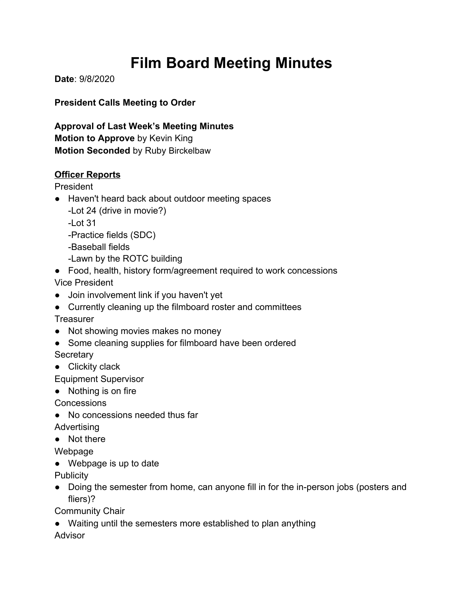# **Film Board Meeting Minutes**

**Date**: 9/8/2020

**President Calls Meeting to Order**

**Approval of Last Week's Meeting Minutes Motion to Approve** by Kevin King **Motion Seconded** by Ruby Birckelbaw

## **Officer Reports**

President

- Haven't heard back about outdoor meeting spaces -Lot 24 (drive in movie?) -Lot 31 -Practice fields (SDC)
	- -Baseball fields

-Lawn by the ROTC building

- Food, health, history form/agreement required to work concessions Vice President
- Join involvement link if you haven't yet
- Currently cleaning up the filmboard roster and committees
- **Treasurer**
- Not showing movies makes no money
- Some cleaning supplies for filmboard have been ordered

**Secretary** 

● Clickity clack

Equipment Supervisor

● Nothing is on fire

**Concessions** 

● No concessions needed thus far

**Advertising** 

● Not there

Webpage

● Webpage is up to date

**Publicity** 

• Doing the semester from home, can anyone fill in for the in-person jobs (posters and fliers)?

Community Chair

● Waiting until the semesters more established to plan anything

Advisor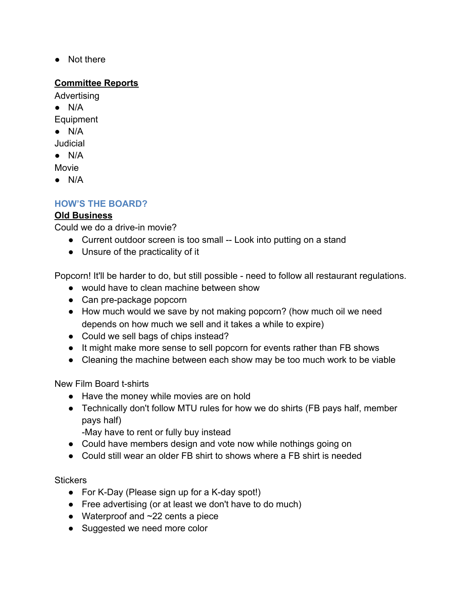● Not there

#### **Committee Reports**

Advertising

● N/A

Equipment

 $\bullet$  N/A

Judicial

 $\bullet$  N/A

Movie

● N/A

## **HOW'S THE BOARD?**

## **Old Business**

Could we do a drive-in movie?

- Current outdoor screen is too small -- Look into putting on a stand
- Unsure of the practicality of it

Popcorn! It'll be harder to do, but still possible - need to follow all restaurant regulations.

- would have to clean machine between show
- Can pre-package popcorn
- How much would we save by not making popcorn? (how much oil we need depends on how much we sell and it takes a while to expire)
- Could we sell bags of chips instead?
- It might make more sense to sell popcorn for events rather than FB shows
- Cleaning the machine between each show may be too much work to be viable

New Film Board t-shirts

- Have the money while movies are on hold
- Technically don't follow MTU rules for how we do shirts (FB pays half, member pays half)

-May have to rent or fully buy instead

- Could have members design and vote now while nothings going on
- Could still wear an older FB shirt to shows where a FB shirt is needed

**Stickers** 

- For K-Day (Please sign up for a K-day spot!)
- Free advertising (or at least we don't have to do much)
- Waterproof and ~22 cents a piece
- Suggested we need more color